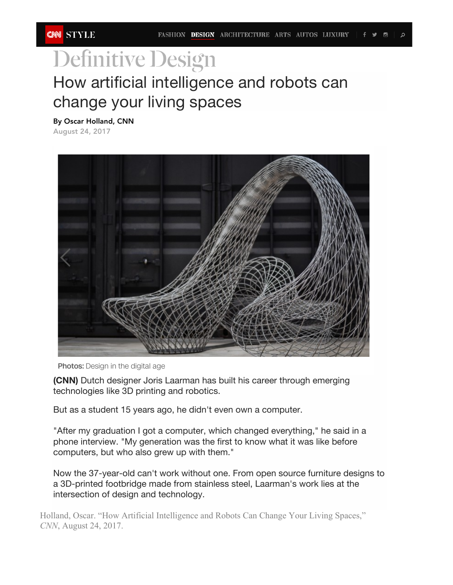## **Definitive Design** How artificial intelligence and robots can How artificial intelligence and robots can change change your living spaces your living spaces

By Oscar Holland, CNN **By Oscar Holland, CNN**

August 24, 2017



Photos: Design in the digital age

**(CNN)** Dutch designer Joris Laarman has built his career through emerging technologies like 3D printing and robotics.

But as a student 15 years ago, he didn't even own a computer.

"After my graduation I got a computer, which changed everything," he said in a phone interview. "My generation was the first to know what it was like before computers, but who also grew up with them."

Now the 37-year-old can't work without one. From open source furniture designs to a 3D-printed footbridge made from stainless steel, Laarman's work lies at the intersection of design and technology.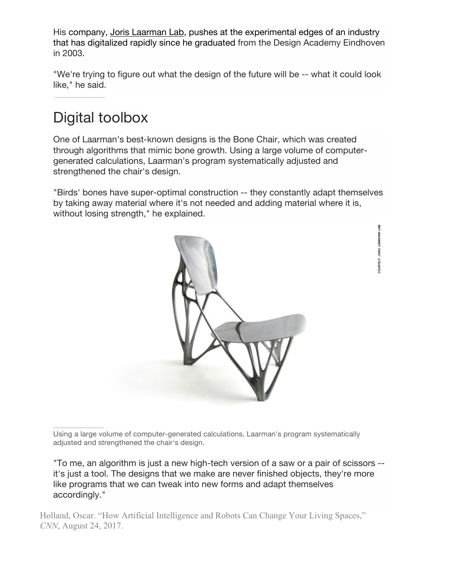His company, Joris Laarman Lab, pushes at the experimental edges of an industry that has digitalized rapidly since he graduated from the Design Academy Eindhoven in 2003.

"We're trying to figure out what the design of the future will be -- what it could look like," he said.  $\blacksquare$ 

rapidly since he graduated from the Design Academy Eindhoven in 2003.

## Digital toolbox  $\mathcal{L}$  what the design of the future will be --

\_\_\_\_\_\_\_\_\_\_\_\_\_\_

\_\_\_\_\_\_\_\_\_\_\_\_\_\_

One of Laarman's best-known designs is the Bone Chair, which was created through algorithms that mimic bone growth. Using a large volume of computergenerated calculations, Laarman's program systematically adjusted and strengthened the chair's design. The Bone Chair which was created the Bone Chair which was created through algorithms that mimic was created through algorithms that mimic was created through algorithms that mimic was creat bone growth. Using a large volume of computer-generations, Laarman's program systematically program systematically program systematically program systematically program systematically program systematically program systema

"Birds' bones have super-optimal construction -- they constantly adapt themselves by taking away material where it's not needed and adding material where it is, without losing strength," he explained.



COURTESY JORIS LAARMAN LAB

Using a large volume of computer-generated calculations, Laarman's program systematically Using a large volume of computer-generated calculations, Laarman's program adjusted and strengthened the chair's design.

"To me, an algorithm is just a new high-tech version of a saw or a pair of scissors -it's just a tool. The designs that we make are never finished objects, they're more like programs that we can tweak into new forms and adapt themselves accordingly." Technology is not only changing designers' methods, but also the type of products they can creat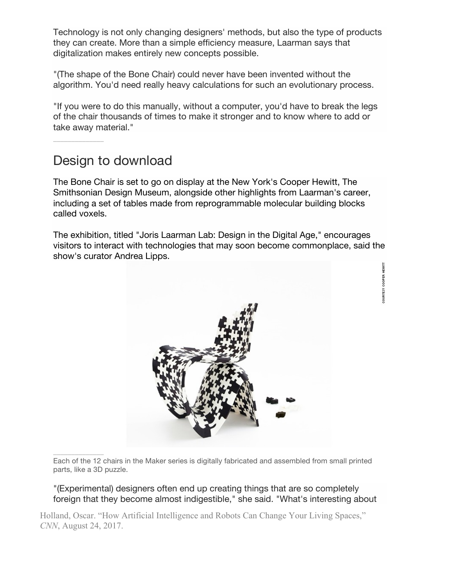Technology is not only changing designers' methods, but also the type of products they can create. More than a simple efficiency measure, Laarman says that digitalization makes entirely new concepts possible.

"(The shape of the Bone Chair) could never have been invented without the algorithm. You'd need really heavy calculations for such an evolutionary process.

"If you were to do this manually, without a computer, you'd have to break the legs of the chair thousands of times to make it stronger and to know where to add or take away material."

## Design to download

\_\_\_\_\_\_\_\_\_\_\_\_\_\_

\_\_\_\_\_\_\_\_\_\_\_\_\_\_

The Bone Chair is set to go on display at the New York's Cooper Hewitt, The Smithsonian Design Museum, alongside other highlights from Laarman's career, including a set of tables made from reprogrammable molecular building blocks called voxels.

The exhibition, titled "Joris Laarman Lab: Design in the Digital Age," encourages visitors to interact with technologies that may soon become commonplace, said the show's curator Andrea Lipps.

COURTESY COOPER HEWITT



Each of the 12 chairs in the Maker series is digitally fabricated and assembled from small printed parts, like a 3D puzzle.

"(Experimental) designers often end up creating things that are so completely foreign that they become almost indigestible," she said. "What's interesting about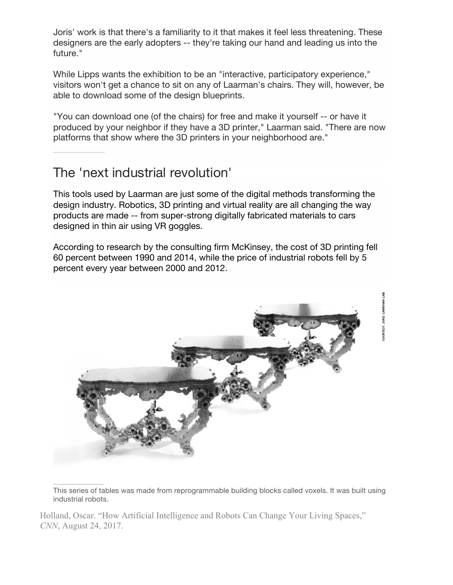Joris' work is that there's a familiarity to it that makes it feel less threatening. These designers are the early adopters -- they're taking our hand and leading us into the future."

While Lipps wants the exhibition to be an "interactive, participatory experience," visitors won't get a chance to sit on any of Laarman's chairs. They will, however, be able to download some of the design blueprints.

"You can download one (of the chairs) for free and make it yourself -- or have it produced by your neighbor if they have a 3D printer," Laarman said. "There are now platforms that show where the 3D printers in your neighborhood are."

## The 'next industrial revolution'

This tools used by Laarman are just some of the digital methods transforming the design industry. Robotics, 3D printing and virtual reality are all changing the way products are made -- from super-strong digitally fabricated materials to cars designed in thin air using VR goggles.

According to research by the consulting firm McKinsey, the cost of 3D printing fell 60 percent between 1990 and 2014, while the price of industrial robots fell by 5 percent every year between 2000 and 2012.



\_\_\_\_\_\_\_\_\_\_\_\_\_\_ This series of tables was made from reprogrammable building blocks called voxels. It was built using industrial robots.